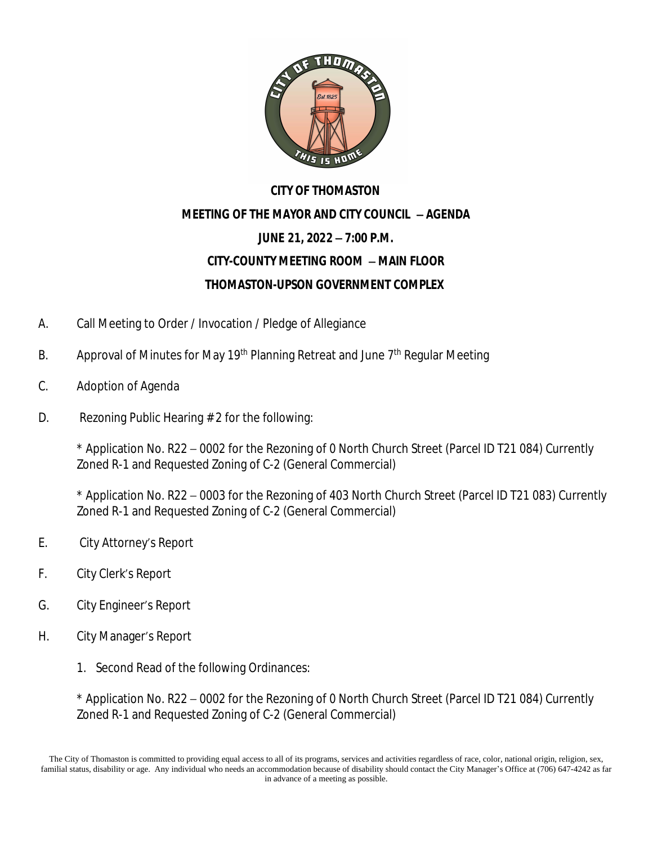

## **CITY OF THOMASTON MEETING OF THE MAYOR AND CITY COUNCIL** – **AGENDA JUNE 21, 2022** – **7:00 P.M. CITY-COUNTY MEETING ROOM** – **MAIN FLOOR THOMASTON-UPSON GOVERNMENT COMPLEX**

- A. Call Meeting to Order / Invocation / Pledge of Allegiance
- B. Approval of Minutes for May 19<sup>th</sup> Planning Retreat and June 7<sup>th</sup> Regular Meeting
- C. Adoption of Agenda
- D. Rezoning Public Hearing # 2 for the following:

\* Application No. R22 – 0002 for the Rezoning of 0 North Church Street (Parcel ID T21 084) Currently Zoned R-1 and Requested Zoning of C-2 (General Commercial)

\* Application No. R22 – 0003 for the Rezoning of 403 North Church Street (Parcel ID T21 083) Currently Zoned R-1 and Requested Zoning of C-2 (General Commercial)

- E. City Attorney's Report
- F. City Clerk's Report
- G. City Engineer's Report
- H. City Manager's Report
	- 1. Second Read of the following Ordinances:

\* Application No. R22 – 0002 for the Rezoning of 0 North Church Street (Parcel ID T21 084) Currently Zoned R-1 and Requested Zoning of C-2 (General Commercial)